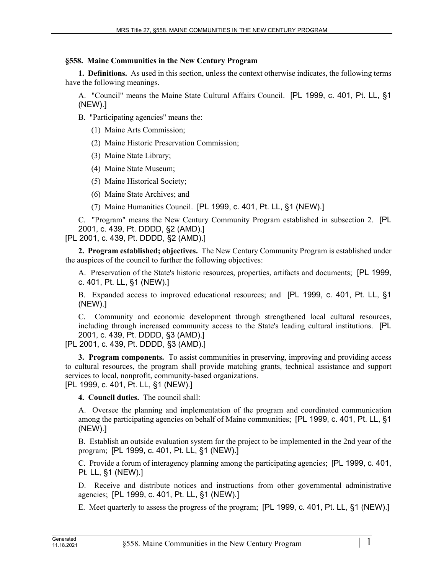## **§558. Maine Communities in the New Century Program**

**1. Definitions.** As used in this section, unless the context otherwise indicates, the following terms have the following meanings.

A. "Council" means the Maine State Cultural Affairs Council. [PL 1999, c. 401, Pt. LL, §1 (NEW).]

B. "Participating agencies" means the:

(1) Maine Arts Commission;

(2) Maine Historic Preservation Commission;

(3) Maine State Library;

(4) Maine State Museum;

(5) Maine Historical Society;

(6) Maine State Archives; and

(7) Maine Humanities Council. [PL 1999, c. 401, Pt. LL, §1 (NEW).]

C. "Program" means the New Century Community Program established in subsection 2. [PL 2001, c. 439, Pt. DDDD, §2 (AMD).]

[PL 2001, c. 439, Pt. DDDD, §2 (AMD).]

**2. Program established; objectives.** The New Century Community Program is established under the auspices of the council to further the following objectives:

A. Preservation of the State's historic resources, properties, artifacts and documents; [PL 1999, c. 401, Pt. LL, §1 (NEW).]

B. Expanded access to improved educational resources; and [PL 1999, c. 401, Pt. LL, §1 (NEW).]

C. Community and economic development through strengthened local cultural resources, including through increased community access to the State's leading cultural institutions. [PL 2001, c. 439, Pt. DDDD, §3 (AMD).]

[PL 2001, c. 439, Pt. DDDD, §3 (AMD).]

**3. Program components.** To assist communities in preserving, improving and providing access to cultural resources, the program shall provide matching grants, technical assistance and support services to local, nonprofit, community-based organizations.

[PL 1999, c. 401, Pt. LL, §1 (NEW).]

**4. Council duties.** The council shall:

A. Oversee the planning and implementation of the program and coordinated communication among the participating agencies on behalf of Maine communities; [PL 1999, c. 401, Pt. LL, §1 (NEW).]

B. Establish an outside evaluation system for the project to be implemented in the 2nd year of the program; [PL 1999, c. 401, Pt. LL, §1 (NEW).]

C. Provide a forum of interagency planning among the participating agencies; [PL 1999, c. 401, Pt. LL, §1 (NEW).]

D. Receive and distribute notices and instructions from other governmental administrative agencies; [PL 1999, c. 401, Pt. LL, §1 (NEW).]

E. Meet quarterly to assess the progress of the program; [PL 1999, c. 401, Pt. LL, §1 (NEW).]